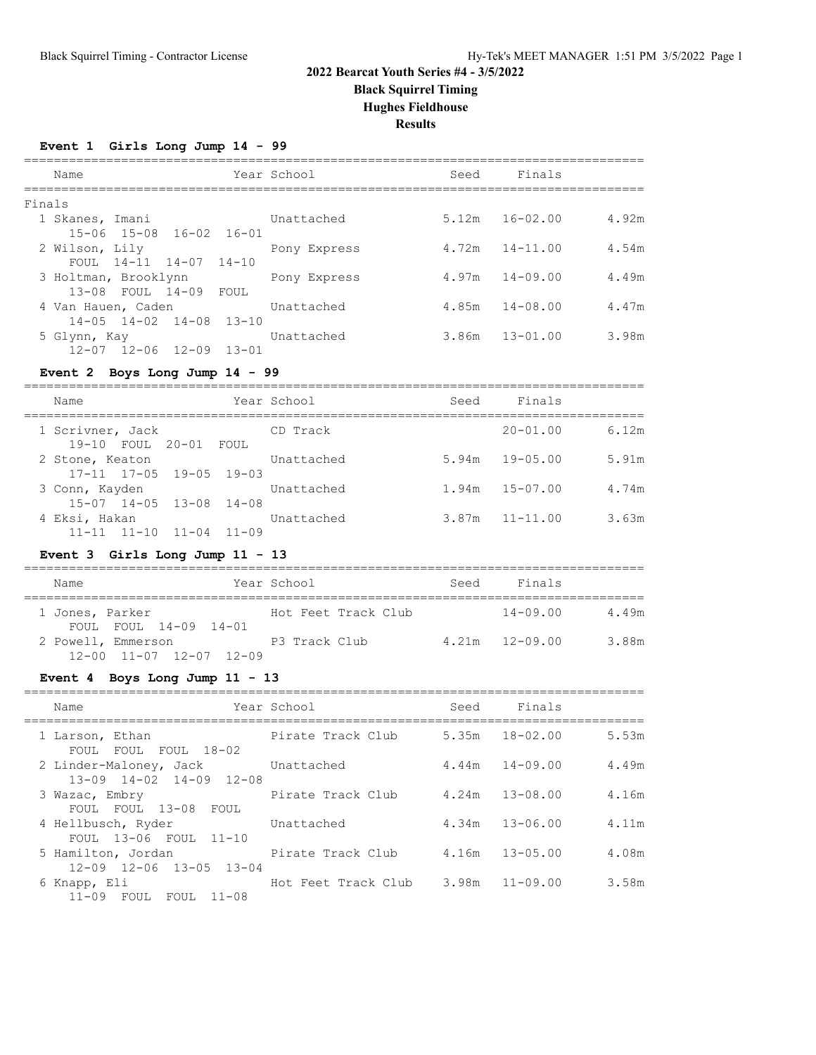**Black Squirrel Timing**

**Hughes Fieldhouse**

**Results**

# **Event 1 Girls Long Jump 14 - 99**

| Name                                       |                                                                                                                                                                    | Seed                                        | Finals |                                                                                                      |
|--------------------------------------------|--------------------------------------------------------------------------------------------------------------------------------------------------------------------|---------------------------------------------|--------|------------------------------------------------------------------------------------------------------|
|                                            |                                                                                                                                                                    |                                             |        |                                                                                                      |
|                                            | Unattached                                                                                                                                                         |                                             |        | 4.92m                                                                                                |
| $15 - 06$ $15 - 08$ $16 - 02$ $16 - 01$    |                                                                                                                                                                    |                                             |        |                                                                                                      |
|                                            |                                                                                                                                                                    |                                             |        | 4.54m                                                                                                |
|                                            |                                                                                                                                                                    |                                             |        |                                                                                                      |
|                                            |                                                                                                                                                                    |                                             |        | 4.49m                                                                                                |
|                                            |                                                                                                                                                                    |                                             |        |                                                                                                      |
|                                            | Unattached                                                                                                                                                         |                                             |        | 4.47m                                                                                                |
| $14 - 05$ $14 - 02$ $14 - 08$ $13 - 10$    |                                                                                                                                                                    |                                             |        |                                                                                                      |
|                                            | Unattached                                                                                                                                                         |                                             |        | 3.98m                                                                                                |
| $12 - 07$ $12 - 06$ $12 - 09$<br>$13 - 01$ |                                                                                                                                                                    |                                             |        |                                                                                                      |
|                                            | Finals<br>1 Skanes, Imani<br>2 Wilson, Lily<br>FOUL $14-11$ $14-07$ $14-10$<br>3 Holtman, Brooklynn<br>13-08 FOUL 14-09 FOUL<br>4 Van Hauen, Caden<br>5 Glynn, Kay | Year School<br>Pony Express<br>Pony Express | 4.72m  | $5.12m$ $16-02.00$<br>$14 - 11.00$<br>$4.97m$ $14-09.00$<br>$4.85m$ $14-08.00$<br>$3.86m$ $13-01.00$ |

# **Event 2 Boys Long Jump 14 - 99**

| Name                                                     | Year School | Seed | Finals             |       |
|----------------------------------------------------------|-------------|------|--------------------|-------|
| 1 Scrivner, Jack<br>19-10 FOUL 20-01 FOUL                | CD Track    |      | $20 - 01.00$       | 6.12m |
| 2 Stone, Keaton<br>$17-11$ $17-05$ $19-05$ $19-03$       | Unattached  |      | $5.94m$ $19-05.00$ | 5.91m |
| 3 Conn, Kayden<br>$15-07$ $14-05$ $13-08$ $14-08$        | Unattached  |      | $1.94m$ $15-07.00$ | 4.74m |
| 4 Eksi, Hakan<br>$11 - 11$ $11 - 10$ $11 - 04$ $11 - 09$ | Unattached  |      | $3.87m$ $11-11.00$ | 3.63m |

# **Event 3 Girls Long Jump 11 - 13**

| Name                                                          | Year School         | Seed | Finals             |       |
|---------------------------------------------------------------|---------------------|------|--------------------|-------|
| 1 Jones, Parker<br>FOUL FOUL 14-09 14-01                      | Hot Feet Track Club |      | 14-09.00           | 4.49m |
| 2 Powell, Emmerson<br>$12 - 00$ $11 - 07$ $12 - 07$ $12 - 09$ | P3 Track Club       |      | $4.21m$ $12-09.00$ | 3.88m |

### **Event 4 Boys Long Jump 11 - 13**

| Name                                                                 | Year School         | Seed | Finals             |       |
|----------------------------------------------------------------------|---------------------|------|--------------------|-------|
| 1 Larson, Ethan<br>FOUL FOUL FOUL 18-02                              | Pirate Track Club   |      | $5.35m$ $18-02.00$ | 5.53m |
| 2 Linder-Maloney, Jack Unattached<br>$13-09$ $14-02$ $14-09$ $12-08$ |                     |      | $4.44m$ $14-09.00$ | 4.49m |
| 3 Wazac, Embry<br>FOUL FOUL 13-08 FOUL                               | Pirate Track Club   |      | $4.24m$ $13-08.00$ | 4.16m |
| 4 Hellbusch, Ryder<br>FOUL 13-06 FOUL 11-10                          | Unattached          |      | $4.34m$ $13-06.00$ | 4.11m |
| 5 Hamilton, Jordan<br>$12 - 09$ $12 - 06$ $13 - 05$ $13 - 04$        | Pirate Track Club   |      | $4.16m$ $13-05.00$ | 4.08m |
| 6 Knapp, Eli<br>11-09 FOUL FOUL<br>$11 - 08$                         | Hot Feet Track Club |      | $3.98m$ $11-09.00$ | 3.58m |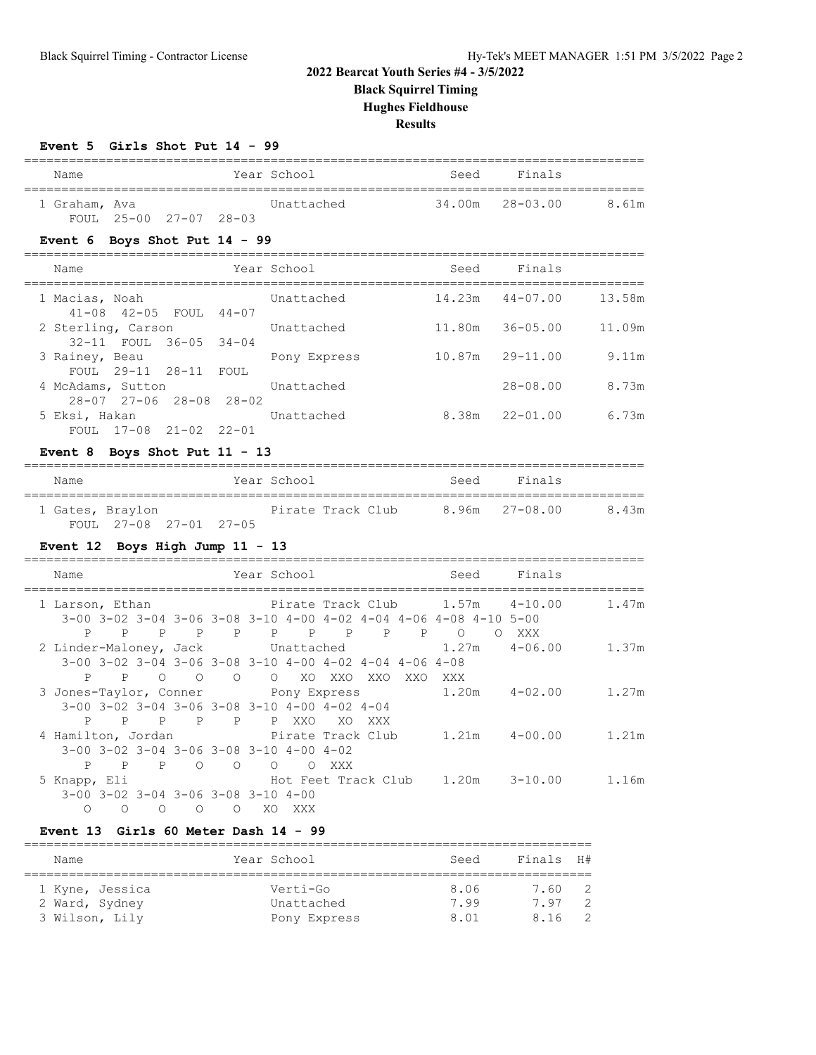**Black Squirrel Timing**

**Hughes Fieldhouse**

**Results**

| Event 5 Girls Shot Put 14 - 99 |  |  |  |  |  |  |
|--------------------------------|--|--|--|--|--|--|
|--------------------------------|--|--|--|--|--|--|

| Name                                                              | =========<br>Year School                                                                                                                                                       | Seed   | Finals              |        |
|-------------------------------------------------------------------|--------------------------------------------------------------------------------------------------------------------------------------------------------------------------------|--------|---------------------|--------|
| 1 Graham, Ava<br>FOUL 25-00 27-07 28-03                           | Unattached                                                                                                                                                                     | 34.00m | $28 - 03.00$        | 8.61m  |
| Event $6$ Boys Shot Put $14 - 99$                                 |                                                                                                                                                                                |        |                     |        |
| Name                                                              | Year School                                                                                                                                                                    |        | Seed Finals         |        |
| 1 Macias, Noah<br>41-08 42-05 FOUL 44-07                          | Unattached                                                                                                                                                                     |        | 14.23m  44-07.00    | 13.58m |
| 2 Sterling, Carson                                                | Unattached                                                                                                                                                                     |        | 11.80m 36-05.00     | 11.09m |
| 32-11 FOUL 36-05 34-04<br>3 Rainey, Beau<br>FOUL 29-11 28-11 FOUL | Pony Express                                                                                                                                                                   |        | $10.87m$ $29-11.00$ | 9.11m  |
| 4 McAdams, Sutton<br>28-07 27-06 28-08 28-02                      | Unattached                                                                                                                                                                     |        | $28 - 08.00$        | 8.73m  |
| 5 Eksi, Hakan<br>FOUL 17-08 21-02 22-01                           | Unattached                                                                                                                                                                     |        |                     | 6.73m  |
| Event 8 Boys Shot Put $11 - 13$                                   |                                                                                                                                                                                |        |                     |        |
| Name                                                              | Year School                                                                                                                                                                    | Seed   | Finals              |        |
| 1 Gates, Braylon<br>FOUL 27-08 27-01 27-05                        | Pirate Track Club 8.96m                                                                                                                                                        |        | $27 - 08.00$        | 8.43m  |
| Event $12$ Boys High Jump $11 - 13$                               |                                                                                                                                                                                |        |                     |        |
| Name                                                              | Year School                                                                                                                                                                    |        | Seed Finals         |        |
| $P$ $P$<br>P                                                      | 1 Larson, Ethan                       Pirate Track Club       1.57m     4-10.00<br>3-00 3-02 3-04 3-06 3-08 3-10 4-00 4-02 4-04 4-06 4-08 4-10 5-00<br>P P P P P P P P O O XXX |        |                     | 1.47m  |
| 2 Linder-Maloney, Jack<br>$\mathbf{P}$<br>$\overline{O}$<br>P     | Unattached<br>$3-00$ $3-02$ $3-04$ $3-06$ $3-08$ $3-10$ $4-00$ $4-02$ $4-04$ $4-06$ $4-08$<br>O O O XO XXO XXO XXO XXX                                                         | 1.27m  | $4 - 06.00$         | 1.37m  |
| 3 Jones-Taylor, Conner Fony Express<br>P<br>P                     | 3-00 3-02 3-04 3-06 3-08 3-10 4-00 4-02 4-04<br>P P P P XXO XO XXX                                                                                                             |        | $1.20m$ $4-02.00$   | 1.27m  |
| 4 Hamilton, Jordan<br>3-00 3-02 3-04 3-06 3-08 3-10 4-00 4-02     | Pirate Track Club 1.21m<br>P P P O O O O XXX                                                                                                                                   |        | $4 - 00.00$         | 1.21m  |
| 5 Knapp, Eli<br>3-00 3-02 3-04 3-06 3-08 3-10 4-00                | Hot Feet Track Club 1.20m 3-10.00                                                                                                                                              |        |                     | 1.16m  |

# **Event 13 Girls 60 Meter Dash 14 - 99**

| Name |                 |  | Year School  | Seed | Finals H# |               |  |  |  |  |
|------|-----------------|--|--------------|------|-----------|---------------|--|--|--|--|
|      |                 |  |              |      |           |               |  |  |  |  |
|      | 1 Kyne, Jessica |  | Verti-Go     | 8.06 | 7.60 2    |               |  |  |  |  |
|      | 2 Ward, Sydney  |  | Unattached   | 7.99 | 797       | $\mathcal{P}$ |  |  |  |  |
|      | 3 Wilson, Lily  |  | Pony Express | 8.01 | 8.16 2    |               |  |  |  |  |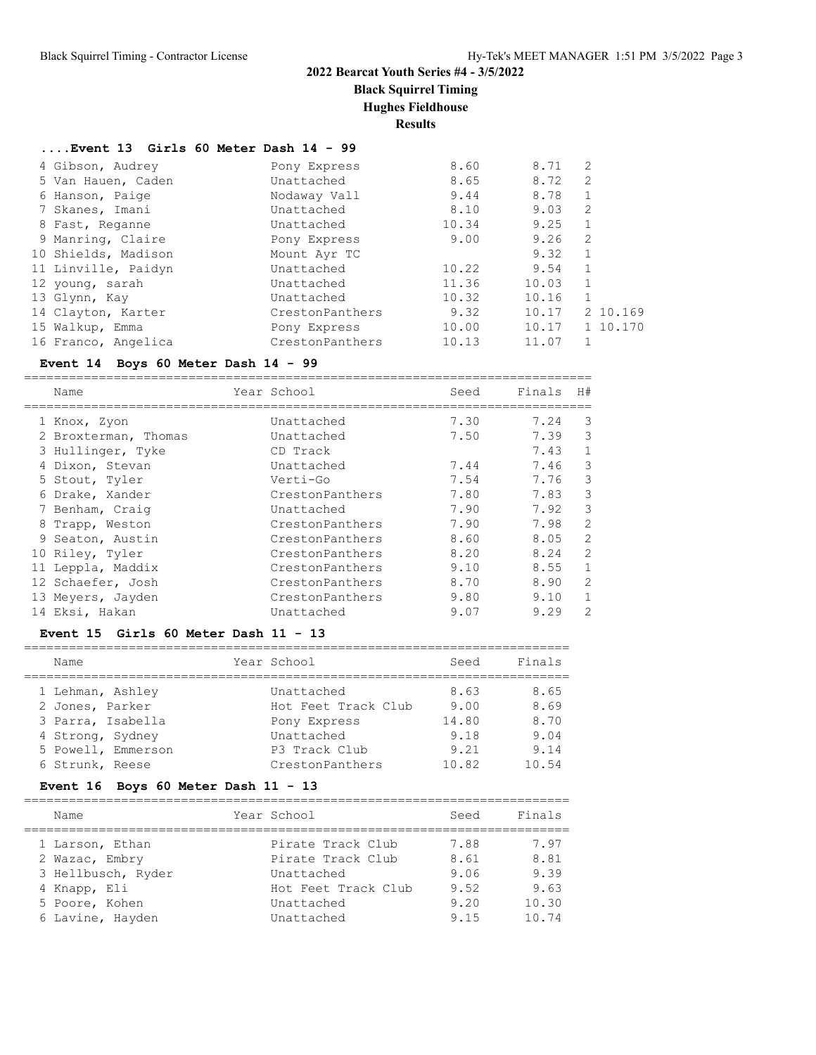**Black Squirrel Timing**

**Hughes Fieldhouse**

**Results**

=========================================================================

# **....Event 13 Girls 60 Meter Dash 14 - 99**

| 4 Gibson, Audrey    | Pony Express    | 8.60  | 8.71  | 2            |          |
|---------------------|-----------------|-------|-------|--------------|----------|
| 5 Van Hauen, Caden  | Unattached      | 8.65  | 8.72  | 2            |          |
| 6 Hanson, Paige     | Nodaway Vall    | 9.44  | 8.78  | 1            |          |
| 7 Skanes, Imani     | Unattached      | 8.10  | 9.03  | 2            |          |
| 8 Fast, Reganne     | Unattached      | 10.34 | 9.25  | $\mathbf{1}$ |          |
| 9 Manring, Claire   | Pony Express    | 9.00  | 9.26  | 2            |          |
| 10 Shields, Madison | Mount Ayr TC    |       | 9.32  | $\mathbf{1}$ |          |
| 11 Linville, Paidyn | Unattached      | 10.22 | 9.54  | 1            |          |
| 12 young, sarah     | Unattached      | 11.36 | 10.03 | $\mathbf{1}$ |          |
| 13 Glynn, Kay       | Unattached      | 10.32 | 10.16 | -1           |          |
| 14 Clayton, Karter  | CrestonPanthers | 9.32  | 10.17 |              | 2 10.169 |
| 15 Walkup, Emma     | Pony Express    | 10.00 | 10.17 |              | 1 10.170 |
| 16 Franco, Angelica | CrestonPanthers | 10.13 | 11.07 |              |          |

# **Event 14 Boys 60 Meter Dash 14 - 99**

|    | Name                 | Year School     | Seed | Finals | H#             |
|----|----------------------|-----------------|------|--------|----------------|
|    | 1 Knox, Zyon         | Unattached      | 7.30 | 7.24   | 3              |
|    | 2 Broxterman, Thomas | Unattached      | 7.50 | 7.39   | 3              |
|    | 3 Hullinger, Tyke    | CD Track        |      | 7.43   | $\mathbf{1}$   |
|    | 4 Dixon, Stevan      | Unattached      | 7.44 | 7.46   | 3              |
|    | 5 Stout, Tyler       | Verti-Go        | 7.54 | 7.76   | 3              |
|    | 6 Drake, Xander      | CrestonPanthers | 7.80 | 7.83   | 3              |
|    | 7 Benham, Craiq      | Unattached      | 7.90 | 7.92   | 3              |
|    | 8 Trapp, Weston      | CrestonPanthers | 7.90 | 7.98   | 2              |
|    | 9 Seaton, Austin     | CrestonPanthers | 8.60 | 8.05   | 2              |
|    | 10 Riley, Tyler      | CrestonPanthers | 8.20 | 8.24   | 2              |
| 11 | Leppla, Maddix       | CrestonPanthers | 9.10 | 8.55   | $\mathbf{1}$   |
|    | 12 Schaefer, Josh    | CrestonPanthers | 8.70 | 8.90   | $\overline{2}$ |
|    | 13 Meyers, Jayden    | CrestonPanthers | 9.80 | 9.10   | $\mathbf{1}$   |
|    | 14 Eksi, Hakan       | Unattached      | 9.07 | 9.29   | 2              |

# **Event 15 Girls 60 Meter Dash 11 - 13**

| Name               | Year School         | Seed  | Finals |
|--------------------|---------------------|-------|--------|
| 1 Lehman, Ashley   | Unattached          | 8.63  | 8.65   |
| 2 Jones, Parker    | Hot Feet Track Club | 9.00  | 8.69   |
| 3 Parra, Isabella  | Pony Express        | 14.80 | 8.70   |
| 4 Strong, Sydney   | Unattached          | 9.18  | 9.04   |
| 5 Powell, Emmerson | P3 Track Club       | 9.21  | 9.14   |
| 6 Strunk, Reese    | CrestonPanthers     | 10.82 | 10.54  |

# **Event 16 Boys 60 Meter Dash 11 - 13**

| Name               | Year School         | Seed | Finals |
|--------------------|---------------------|------|--------|
| 1 Larson, Ethan    | Pirate Track Club   | 7.88 | 7.97   |
| 2 Wazac, Embry     | Pirate Track Club   | 8.61 | 8.81   |
| 3 Hellbusch, Ryder | Unattached          | 9.06 | 9.39   |
| 4 Knapp, Eli       | Hot Feet Track Club | 9.52 | 9.63   |
| 5 Poore, Kohen     | Unattached          | 9.20 | 10.30  |
| 6 Lavine, Hayden   | Unattached          | 9.15 | 10.74  |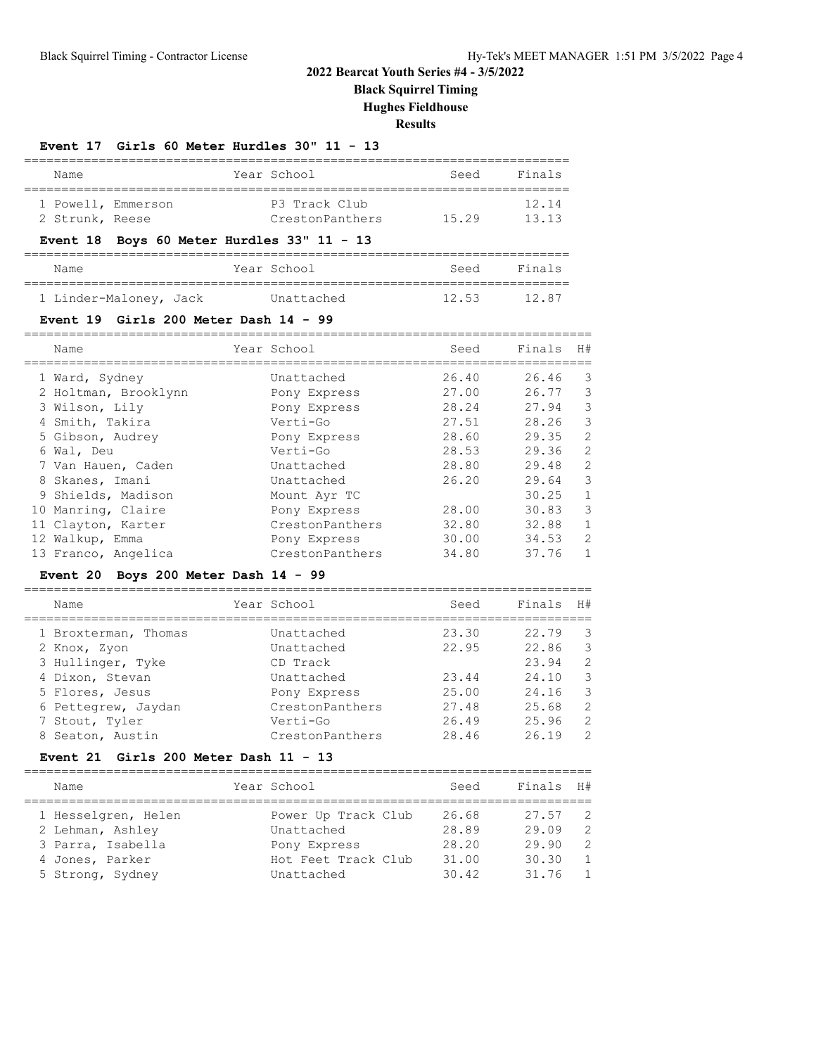**Black Squirrel Timing**

**Hughes Fieldhouse**

**Results**

### **Event 17 Girls 60 Meter Hurdles 30" 11 - 13**

| Name               | Year School     | Seed  | Finals |
|--------------------|-----------------|-------|--------|
| 1 Powell, Emmerson | P3 Track Club   |       | 12.14  |
| 2 Strunk, Reese    | CrestonPanthers | 15.29 | 1313   |

# **Event 18 Boys 60 Meter Hurdles 33" 11 - 13**

| Name                   | Year School | Seed  | Finals |
|------------------------|-------------|-------|--------|
|                        |             |       |        |
| 1 Linder-Maloney, Jack | Unattached  | 12.53 | 1287   |

#### **Event 19 Girls 200 Meter Dash 14 - 99**

| Name                 |                 | Seed        | Finals | H#           |
|----------------------|-----------------|-------------|--------|--------------|
| 1 Ward, Sydney       | Unattached      | 26.40       | 26.46  | -3           |
| 2 Holtman, Brooklynn | Pony Express    | 27.00       | 26.77  | 3            |
| 3 Wilson, Lily       | Pony Express    | 28.24       | 27.94  | 3            |
| 4 Smith, Takira      | Verti-Go        | 27.51       | 28.26  | 3            |
| 5 Gibson, Audrey     | Pony Express    | 28.60       | 29.35  | 2            |
| 6 Wal, Deu           | Verti-Go        | 28.53       | 29.36  | 2            |
| 7 Van Hauen, Caden   | Unattached      | 28.80       | 29.48  | 2            |
| 8 Skanes, Imani      | Unattached      | 26.20       | 29.64  | 3            |
| 9 Shields, Madison   | Mount Ayr TC    |             | 30.25  | $\mathbf{1}$ |
| 10 Manring, Claire   | Pony Express    | 28.00       | 30.83  | 3            |
| 11 Clayton, Karter   | CrestonPanthers | 32.80       | 32.88  | $\mathbf{1}$ |
| 12 Walkup, Emma      | Pony Express    | 30.00       | 34.53  | 2            |
| 13 Franco, Angelica  | CrestonPanthers | 34.80       | 37.76  | $\mathbf{1}$ |
|                      |                 | Year School |        |              |

# **Event 20 Boys 200 Meter Dash 14 - 99**

| Name                 | Year School     | Seed  | Finals | H#            |
|----------------------|-----------------|-------|--------|---------------|
| 1 Broxterman, Thomas | Unattached      | 23.30 | 22.79  | 3             |
| 2 Knox, Zyon         | Unattached      | 22.95 | 22.86  | 3             |
| 3 Hullinger, Tyke    | CD Track        |       | 23.94  | $\mathcal{L}$ |
| 4 Dixon, Stevan      | Unattached      | 23.44 | 24.10  | 3             |
| 5 Flores, Jesus      | Pony Express    | 25.00 | 24.16  | 3             |
| 6 Pettegrew, Jaydan  | CrestonPanthers | 27.48 | 25.68  | 2             |
| 7 Stout, Tyler       | Verti-Go        | 26.49 | 25.96  | 2             |
| 8 Seaton, Austin     | CrestonPanthers | 28.46 | 26.19  | $\mathcal{L}$ |
|                      |                 |       |        |               |

# **Event 21 Girls 200 Meter Dash 11 - 13**

| Name                                                                                                | Year School                                                                            | Seed                                      | Finals                                    | H#                                                                        |
|-----------------------------------------------------------------------------------------------------|----------------------------------------------------------------------------------------|-------------------------------------------|-------------------------------------------|---------------------------------------------------------------------------|
| 1 Hesselgren, Helen<br>2 Lehman, Ashley<br>3 Parra, Isabella<br>4 Jones, Parker<br>5 Strong, Sydney | Power Up Track Club<br>Unattached<br>Pony Express<br>Hot Feet Track Club<br>Unattached | 26.68<br>28.89<br>28.20<br>31.00<br>30.42 | 27.57<br>29.09<br>29.90<br>30.30<br>31.76 | $\overline{2}$<br>$\mathcal{P}$<br>-2<br>$\overline{1}$<br>$\overline{1}$ |
|                                                                                                     |                                                                                        |                                           |                                           |                                                                           |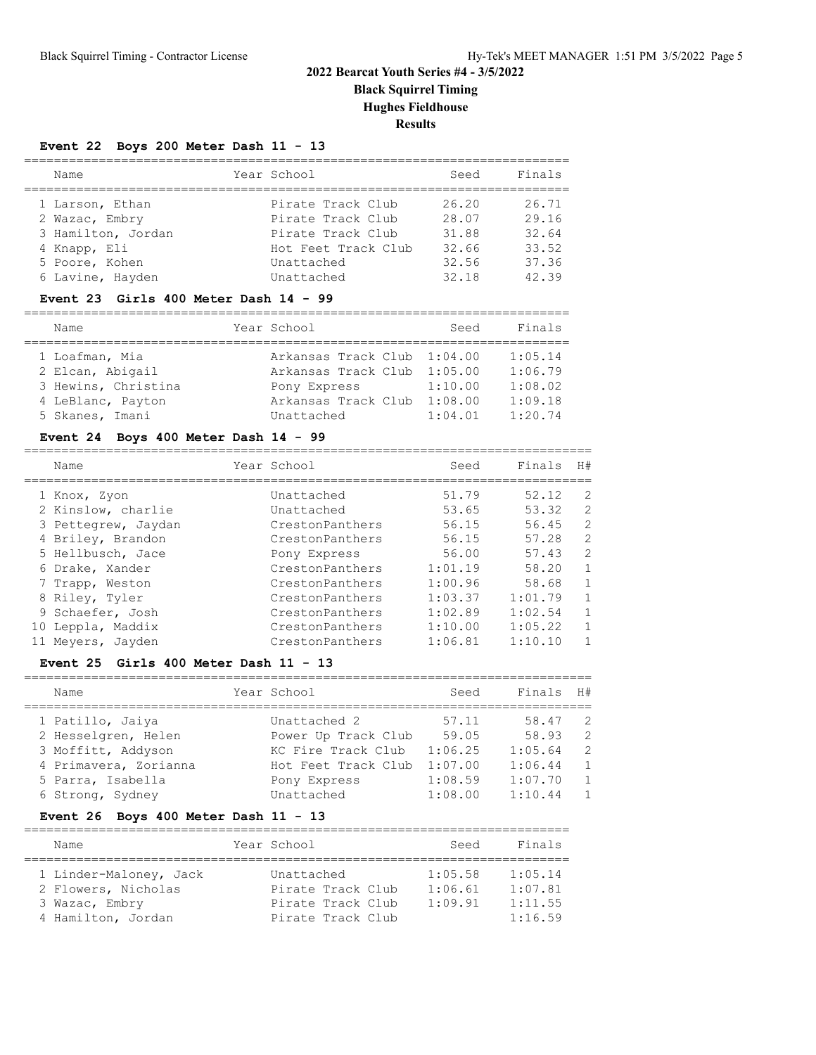# **2022 Bearcat Youth Series #4 - 3/5/2022 Black Squirrel Timing Hughes Fieldhouse**

**Results**

============================================================================

# **Event 22 Boys 200 Meter Dash 11 - 13**

| Name               | Year School         | Seed  | Finals |
|--------------------|---------------------|-------|--------|
| 1 Larson, Ethan    | Pirate Track Club   | 26.20 | 26.71  |
| 2 Wazac, Embry     | Pirate Track Club   | 28.07 | 29.16  |
| 3 Hamilton, Jordan | Pirate Track Club   | 31.88 | 32.64  |
| 4 Knapp, Eli       | Hot Feet Track Club | 32.66 | 33.52  |
| 5 Poore, Kohen     | Unattached          | 32.56 | 37.36  |
| 6 Lavine, Hayden   | Unattached          | 32.18 | 42.39  |

#### **Event 23 Girls 400 Meter Dash 14 - 99**

| Name                                                                                              | Year School                                                                                                     | Seed                          | Finals                                              |
|---------------------------------------------------------------------------------------------------|-----------------------------------------------------------------------------------------------------------------|-------------------------------|-----------------------------------------------------|
| 1 Loafman, Mia<br>2 Elcan, Abigail<br>3 Hewins, Christina<br>4 LeBlanc, Payton<br>5 Skanes, Imani | Arkansas Track Club 1:04.00<br>Arkansas Track Club 1:05.00<br>Pony Express<br>Arkansas Track Club<br>Unattached | 1:10.00<br>1:08.00<br>1:04.01 | 1:05.14<br>1:06.79<br>1:08.02<br>1:09.18<br>1:20.74 |

# **Event 24 Boys 400 Meter Dash 14 - 99**

|    | Name                | Year School     | Seed    | Finals  | H#             |
|----|---------------------|-----------------|---------|---------|----------------|
|    | 1 Knox, Zyon        | Unattached      | 51.79   | 52.12   | $\mathcal{L}$  |
|    | 2 Kinslow, charlie  | Unattached      | 53.65   | 53.32   | 2              |
|    | 3 Pettegrew, Jaydan | CrestonPanthers | 56.15   | 56.45   | $\mathfrak{D}$ |
|    | 4 Briley, Brandon   | CrestonPanthers | 56.15   | 57.28   | $\mathfrak{D}$ |
|    | 5 Hellbusch, Jace   | Pony Express    | 56.00   | 57.43   | $\mathfrak{D}$ |
|    | 6 Drake, Xander     | CrestonPanthers | 1:01.19 | 58.20   | $\mathbf{1}$   |
|    | 7 Trapp, Weston     | CrestonPanthers | 1:00.96 | 58.68   | $\mathbf{1}$   |
|    | 8 Riley, Tyler      | CrestonPanthers | 1:03.37 | 1:01.79 | $\mathbf{1}$   |
|    | 9 Schaefer, Josh    | CrestonPanthers | 1:02.89 | 1:02.54 |                |
| 10 | Leppla, Maddix      | CrestonPanthers | 1:10.00 | 1:05.22 | $\mathbf{1}$   |
|    | Meyers, Jayden      | CrestonPanthers | 1:06.81 | 1:10.10 |                |

### **Event 25 Girls 400 Meter Dash 11 - 13**

| Name                  | Year School         | Seed    | Finals  | H#             |
|-----------------------|---------------------|---------|---------|----------------|
| 1 Patillo, Jaiya      | Unattached 2        | 57.11   | 58.47   | -2             |
| 2 Hesselgren, Helen   | Power Up Track Club | 59.05   | 58.93   | $\overline{2}$ |
| 3 Moffitt, Addyson    | KC Fire Track Club  | 1:06.25 | 1:05.64 | 2              |
| 4 Primavera, Zorianna | Hot Feet Track Club | 1:07.00 | 1:06.44 | 1              |
| 5 Parra, Isabella     | Pony Express        | 1:08.59 | 1:07.70 | $\overline{1}$ |
| 6 Strong, Sydney      | Unattached          | 1:08.00 | 1:10.44 | $\mathbf{1}$   |

# **Event 26 Boys 400 Meter Dash 11 - 13**

| Name                                                                                  | Year School                                                               | Seed                          | Finals                                   |
|---------------------------------------------------------------------------------------|---------------------------------------------------------------------------|-------------------------------|------------------------------------------|
| 1 Linder-Maloney, Jack<br>2 Flowers, Nicholas<br>3 Wazac, Embry<br>4 Hamilton, Jordan | Unattached<br>Pirate Track Club<br>Pirate Track Club<br>Pirate Track Club | 1:05.58<br>1:06.61<br>1:09.91 | 1:05.14<br>1:07.81<br>1:11.55<br>1:16.59 |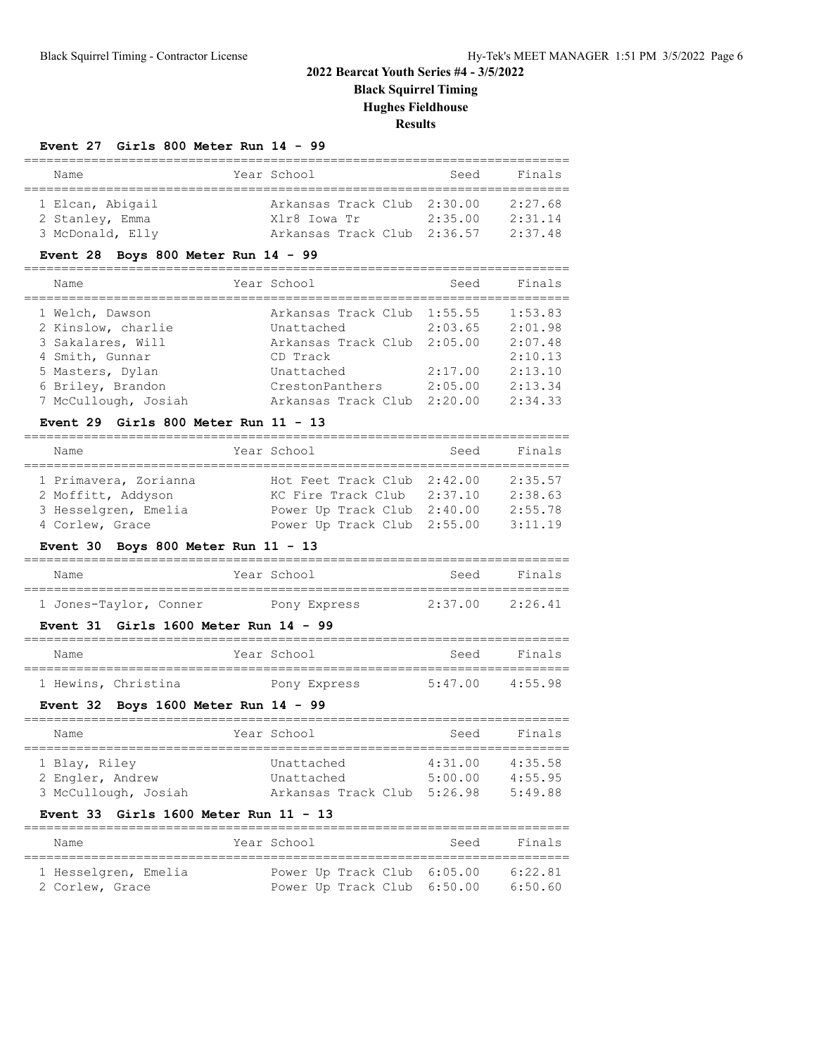# **2022 Bearcat Youth Series #4 - 3/5/2022 Black Squirrel Timing**

**Hughes Fieldhouse**

**Results**

### **Event 27 Girls 800 Meter Run 14 - 99**

| Name             | Year School                 | Seed    | Finals  |
|------------------|-----------------------------|---------|---------|
|                  |                             |         |         |
| 1 Elcan, Abigail | Arkansas Track Club 2:30.00 |         | 2:27.68 |
| 2 Stanley, Emma  | Xlr8 Iowa Tr                | 2:35.00 | 2:31.14 |
| 3 McDonald, Elly | Arkansas Track Club 2:36.57 |         | 2:37.48 |

# **Event 28 Boys 800 Meter Run 14 - 99**

| Name                                      | Year School                               | Seed               | Finals             |
|-------------------------------------------|-------------------------------------------|--------------------|--------------------|
| 1 Welch, Dawson<br>2 Kinslow, charlie     | Arkansas Track Club 1:55.55<br>Unattached | 2:03.65            | 1:53.83<br>2:01.98 |
| 3 Sakalares, Will                         | Arkansas Track Club                       | 2:05.00            | 2:07.48            |
| 4 Smith, Gunnar<br>5 Masters, Dylan       | CD Track<br>Unattached                    | 2:17.00            | 2:10.13<br>2:13.10 |
| 6 Briley, Brandon<br>7 McCullough, Josiah | CrestonPanthers<br>Arkansas Track Club    | 2:05.00<br>2:20.00 | 2:13.34<br>2:34.33 |

### **Event 29 Girls 800 Meter Run 11 - 13**

| Name                  | Year School                 | Seed    | Finals  |
|-----------------------|-----------------------------|---------|---------|
| 1 Primavera, Zorianna | Hot Feet Track Club 2:42.00 |         | 2:35.57 |
| 2 Moffitt, Addyson    | KC Fire Track Club 2:37.10  |         | 2:38.63 |
| 3 Hesselgren, Emelia  | Power Up Track Club         | 2:40.00 | 2:55.78 |
| 4 Corlew, Grace       | Power Up Track Club 2:55.00 |         | 3:11.19 |

# **Event 30 Boys 800 Meter Run 11 - 13**

| Name                   | Year School  | Seed    | Finals  |
|------------------------|--------------|---------|---------|
|                        |              |         |         |
| 1 Jones-Taylor, Conner | Pony Express | 2:37.00 | 2:26.41 |

# **Event 31 Girls 1600 Meter Run 14 - 99**

| Name                | Year School  | Seed    | Finals  |
|---------------------|--------------|---------|---------|
| 1 Hewins, Christina | Pony Express | 5:47.00 | 4:55.98 |

# **Event 32 Boys 1600 Meter Run 14 - 99**

| Name                 |  |                     | Seed        | Finals  |  |  |  |  |
|----------------------|--|---------------------|-------------|---------|--|--|--|--|
|                      |  |                     |             |         |  |  |  |  |
| 1 Blay, Riley        |  | Unattached          | 4:31.00     | 4:35.58 |  |  |  |  |
| 2 Engler, Andrew     |  | Unattached          | 5:00.00     | 4:55.95 |  |  |  |  |
| 3 McCullough, Josiah |  | Arkansas Track Club |             | 5:49.88 |  |  |  |  |
|                      |  |                     | Year School | 5:26.98 |  |  |  |  |

# **Event 33 Girls 1600 Meter Run 11 - 13**

| Name                 | Year School                 |  | Seed | Finals  |
|----------------------|-----------------------------|--|------|---------|
|                      |                             |  |      |         |
| 1 Hesselgren, Emelia | Power Up Track Club 6:05.00 |  |      | 6:22.81 |
| 2 Corlew, Grace      | Power Up Track Club 6:50.00 |  |      | 6:50.60 |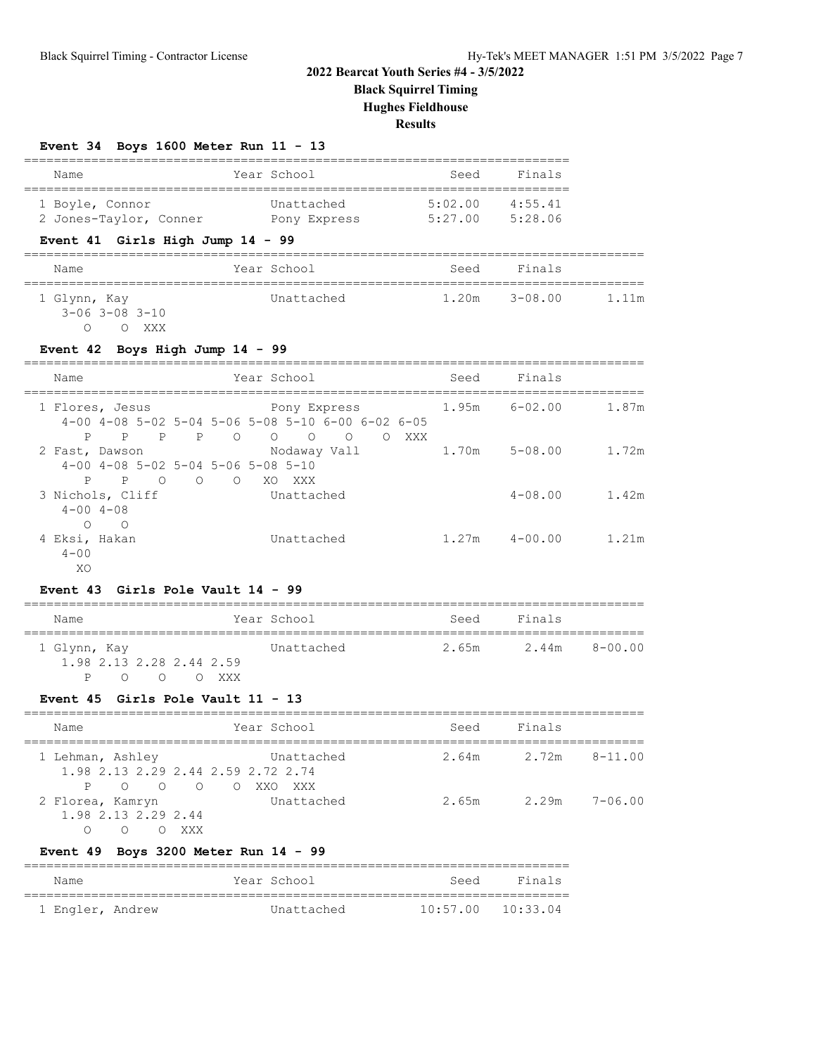**Black Squirrel Timing**

**Hughes Fieldhouse**

# **Results**

| Event 34 Boys 1600 Meter Run 11 - 13 |  |  |  |  |  |  |  |  |  |
|--------------------------------------|--|--|--|--|--|--|--|--|--|
|--------------------------------------|--|--|--|--|--|--|--|--|--|

| Name                                                                                   |                   | Year School                                                                                                  | Seed | Finals            |       |
|----------------------------------------------------------------------------------------|-------------------|--------------------------------------------------------------------------------------------------------------|------|-------------------|-------|
| 1 Boyle, Connor<br>2 Jones-Taylor, Conner Pony Express 5:27.00 5:28.06                 |                   | Unattached 5:02.00 4:55.41                                                                                   |      |                   |       |
| Event 41 Girls High Jump 14 - 99                                                       |                   |                                                                                                              |      |                   |       |
| Name                                                                                   |                   | Year School                                                                                                  |      | Seed Finals       |       |
| 1 Glynn, Kay<br>$3 - 06$ $3 - 08$ $3 - 10$<br>O O XXX                                  |                   | Unattached                                                                                                   |      | $1.20m$ $3-08.00$ | 1.11m |
| Event 42 Boys High Jump 14 - 99                                                        |                   |                                                                                                              |      |                   |       |
| Name                                                                                   |                   | Year School                                                                                                  | Seed | Finals            |       |
| 1 Flores, Jesus<br>P                                                                   | ================= | Pony Express<br>$4-00$ $4-08$ $5-02$ $5-04$ $5-06$ $5-08$ $5-10$ $6-00$ $6-02$ $6-05$<br>P P P O O O O O XXX |      | $1.95m$ $6-02.00$ | 1.87m |
| 2 Fast, Dawson<br>$4-00$ $4-08$ $5-02$ $5-04$ $5-06$ $5-08$ $5-10$<br>P P O O O XO XXX |                   | Nodaway Vall                                                                                                 |      | 1.70m 5-08.00     | 1.72m |
|                                                                                        |                   |                                                                                                              |      |                   |       |
| 3 Nichols, Cliff<br>$4 - 00$ $4 - 08$<br>$O$ 0                                         |                   | Unattached                                                                                                   |      | $4 - 08.00$       | 1.42m |

| Name                                     |        |  | Year School | Seed | Finals              |  |
|------------------------------------------|--------|--|-------------|------|---------------------|--|
| 1 Glynn, Kay<br>1.98 2.13 2.28 2.44 2.59 |        |  | Unattached  |      | 2.65m 2.44m 8-00.00 |  |
| $P \cap$                                 | OOXXXX |  |             |      |                     |  |

# **Event 45 Girls Pole Vault 11 - 13**

| Name                                                                             | Year School                                                                 | Seed  | Finals |               |
|----------------------------------------------------------------------------------|-----------------------------------------------------------------------------|-------|--------|---------------|
| 1 Lehman, Ashley                                                                 | Unattached<br>1.98 2.13 2.29 2.44 2.59 2.72 2.74                            | 2.64m |        | 2.72m 8-11.00 |
| $\overline{O}$<br>$\overline{O}$<br>P<br>2 Florea, Kamryn<br>1.98 2.13 2.29 2.44 | $\overline{O}$<br>$\overline{a}$ $\overline{a}$<br>XXO<br>XXX<br>Unattached | 2.65m | 2.29m  | 7-06.00       |
| ∩                                                                                | XXX                                                                         |       |        |               |

# **Event 49 Boys 3200 Meter Run 14 - 99**

| Name             |  |  | Year School | Seed                  | Finals |  |  |  |
|------------------|--|--|-------------|-----------------------|--------|--|--|--|
|                  |  |  |             |                       |        |  |  |  |
| 1 Engler, Andrew |  |  | Unattached  | $10:57.00$ $10:33.04$ |        |  |  |  |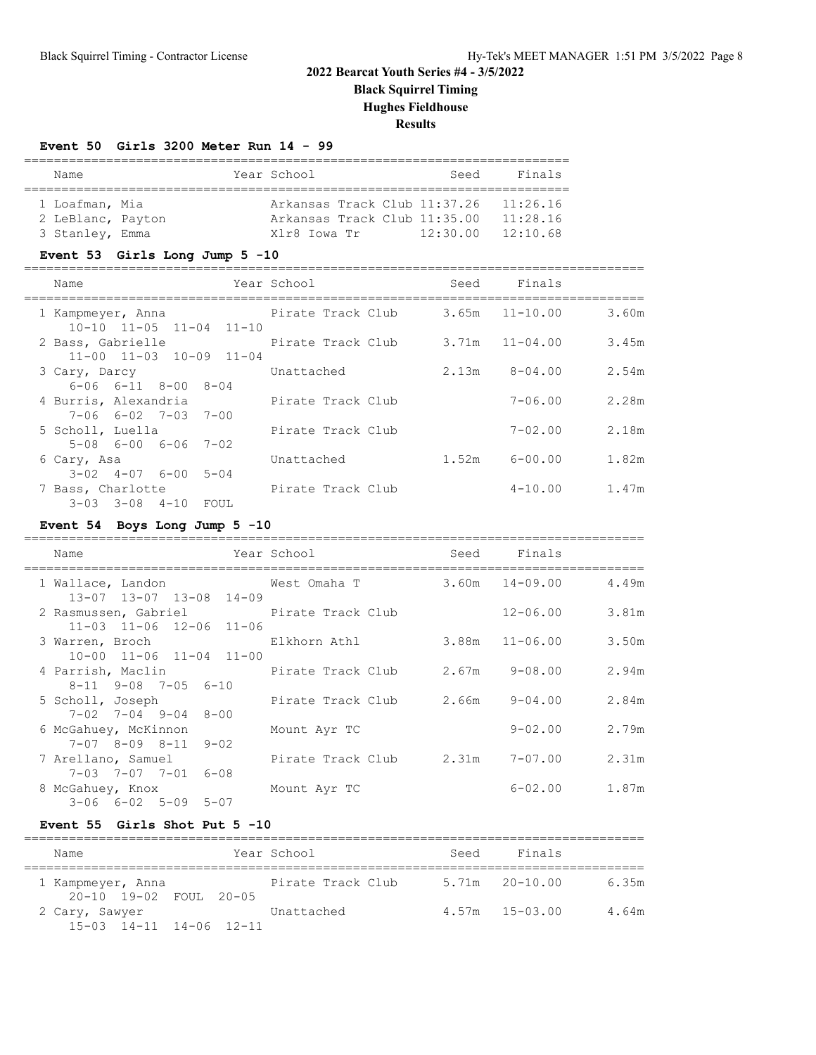**Black Squirrel Timing**

**Hughes Fieldhouse**

# **Results**

### **Event 50 Girls 3200 Meter Run 14 - 99**

| Name              |  |  | Year School                  |  |  | Seed                         | Finals   |  |
|-------------------|--|--|------------------------------|--|--|------------------------------|----------|--|
|                   |  |  |                              |  |  |                              |          |  |
| 1 Loafman, Mia    |  |  |                              |  |  | Arkansas Track Club 11:37.26 | 11:26.16 |  |
| 2 LeBlanc, Payton |  |  | Arkansas Track Club 11:35.00 |  |  |                              | 11:28.16 |  |
| 3 Stanley, Emma   |  |  | Xlr8 Iowa Tr                 |  |  | 12:30.00                     | 12:10.68 |  |

### **Event 53 Girls Long Jump 5 -10**

| Name                                                        | Year School       | Seed  | Finals             |       |
|-------------------------------------------------------------|-------------------|-------|--------------------|-------|
| 1 Kampmeyer, Anna<br>$10-10$ $11-05$ $11-04$ $11-10$        | Pirate Track Club |       | $3.65m$ $11-10.00$ | 3.60m |
| 2 Bass, Gabrielle<br>$11-00$ $11-03$ $10-09$ $11-04$        | Pirate Track Club |       | $3.71m$ $11-04.00$ | 3.45m |
| 3 Cary, Darcy<br>$6 - 06$ $6 - 11$ $8 - 00$ $8 - 04$        | Unattached        | 2.13m | $8 - 04.00$        | 2.54m |
| 4 Burris, Alexandria<br>$7 - 06$ $6 - 02$ $7 - 03$ $7 - 00$ | Pirate Track Club |       | $7 - 06.00$        | 2.28m |
| 5 Scholl, Luella<br>$5-08$ $6-00$ $6-06$ $7-02$             | Pirate Track Club |       | $7 - 02.00$        | 2.18m |
| 6 Cary, Asa<br>$3-02$ $4-07$ $6-00$ $5-04$                  | Unattached        | 1.52m | 6-00.00            | 1.82m |
| 7 Bass, Charlotte<br>3-03 3-08 4-10 FOUL                    | Pirate Track Club |       | $4 - 10.00$        | 1.47m |

# **Event 54 Boys Long Jump 5 -10**

| Year School<br>Name                                                               |                                 | Seed Finals    |       |
|-----------------------------------------------------------------------------------|---------------------------------|----------------|-------|
| 1 Wallace, Landon 6 Mest Omaha T 3.60m 14-09.00 4.49m<br>13-07 13-07 13-08 14-09  |                                 |                |       |
| 2 Rasmussen, Gabriel Pirate Track Club<br>11-03 11-06 12-06 11-06                 |                                 | $12 - 06.00$   | 3.81m |
| 3 Warren, Broch Bukhorn Athl<br>$10-00$ $11-06$ $11-04$ $11-00$                   |                                 | 3.88m 11-06.00 | 3.50m |
| 8-11 9-08 7-05 6-10                                                               |                                 |                | 2.94m |
| 5 Scholl, Joseph 5 Scholl, Dirate Track Club 2.66m 9-04.00<br>7-02 7-04 9-04 8-00 |                                 |                | 2.84m |
| 6 McGahuey, McKinnon<br>7-07 8-09 8-11 9-02                                       | Mount Ayr TC                    | 9-02.00        | 2.79m |
| 7 Arellano, Samuel<br>7-03 7-07 7-01 6-08                                         | Pirate Track Club 2.31m 7-07.00 |                | 2.31m |
| 8 McGahuey, Knox<br>$3 - 06$ $6 - 02$ $5 - 09$ $5 - 07$                           | Mount Ayr TC                    | $6 - 02$ .00   | 1.87m |

### **Event 55 Girls Shot Put 5 -10**

| Name                                              | Year School       | Seed | Finals             |       |
|---------------------------------------------------|-------------------|------|--------------------|-------|
| 1 Kampmeyer, Anna<br>20-10 19-02 FOUL 20-05       | Pirate Track Club |      | $5.71m$ $20-10.00$ | 6.35m |
| 2 Cary, Sawyer<br>$15-03$ $14-11$ $14-06$ $12-11$ | Unattached        |      | $4.57m$ $15-03.00$ | 4.64m |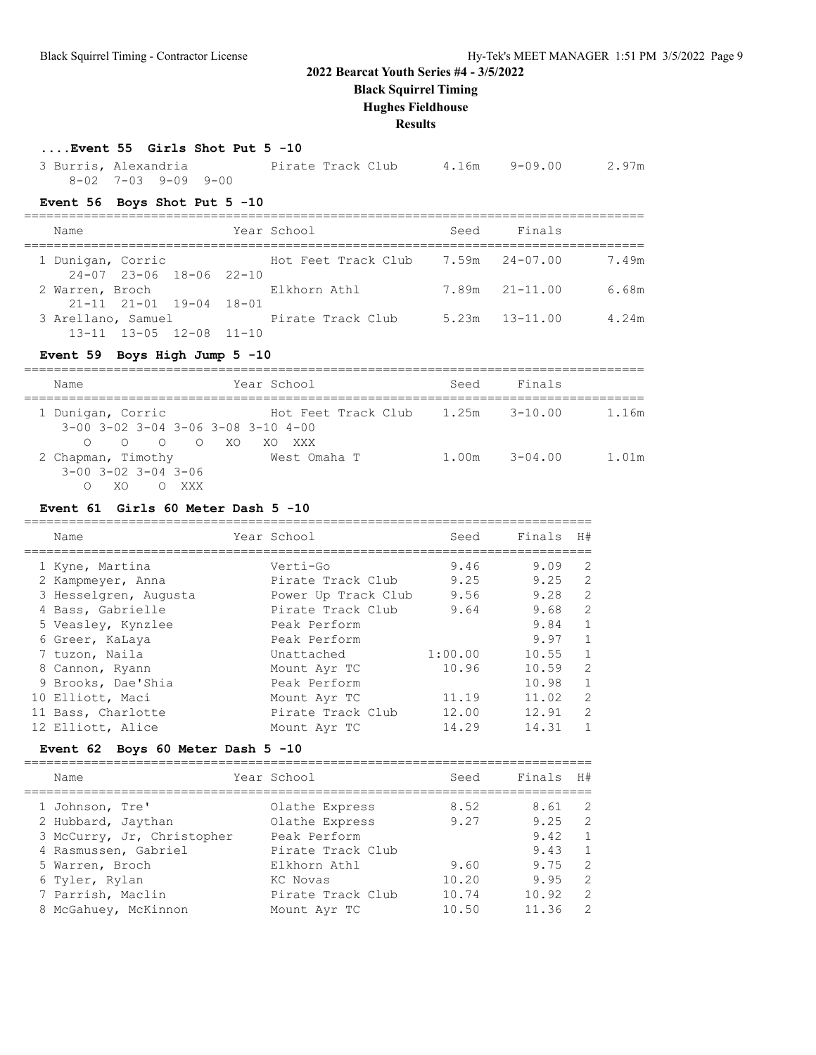**Black Squirrel Timing**

# **Hughes Fieldhouse**

**Results**

# **....Event 55 Girls Shot Put 5 -10**

| 3 Burris, Alexandria |                     |  | Pirate Track Club |  |  | 4.16m 9-09.00 |  | 2.97m |
|----------------------|---------------------|--|-------------------|--|--|---------------|--|-------|
|                      | 8-02 7-03 9-09 9-00 |  |                   |  |  |               |  |       |

# **Event 56 Boys Shot Put 5 -10**

| Name                                                       | Year School         | Seed | Finals             |       |
|------------------------------------------------------------|---------------------|------|--------------------|-------|
| 1 Dunigan, Corric<br>$24-07$ $23-06$ $18-06$ $22-10$       | Hot Feet Track Club |      | 7.59m 24-07.00     | 7.49m |
| 2 Warren, Broch<br>$21 - 11$ $21 - 01$ $19 - 04$ $18 - 01$ | Elkhorn Athl        |      | $7.89m$ $21-11.00$ | 6.68m |
| 3 Arellano, Samuel<br>$13-11$ $13-05$ $12-08$ $11-10$      | Pirate Track Club   |      | $5.23m$ $13-11.00$ | 4.24m |

# **Event 59 Boys High Jump 5 -10**

| Name                                                                                                                                              | Year School                           | Seed  | Finals      |       |
|---------------------------------------------------------------------------------------------------------------------------------------------------|---------------------------------------|-------|-------------|-------|
| 1 Dunigan, Corric<br>$3-00$ $3-02$ $3-04$ $3-06$ $3-08$ $3-10$ $4-00$                                                                             | Hot Feet Track Club $1.25m$ $3-10.00$ |       |             | 1.16m |
| $\overline{O}$<br>$\begin{array}{ccc} & & \circ & & \circ \end{array}$<br>$\bigcirc$<br>2 Chapman, Timothy<br>$3 - 00$ $3 - 02$ $3 - 04$ $3 - 06$ | - XO<br>XXX<br>XO.<br>West Omaha T    | 1.00m | $3 - 04.00$ | 1.01m |
| XXX<br>XO                                                                                                                                         |                                       |       |             |       |

# **Event 61 Girls 60 Meter Dash 5 -10**

| Name                  | Year School         | Seed    | Finals | H#             |
|-----------------------|---------------------|---------|--------|----------------|
| 1 Kyne, Martina       | Verti-Go            | 9.46    | 9.09   | 2              |
| 2 Kampmeyer, Anna     | Pirate Track Club   | 9.25    | 9.25   | 2              |
| 3 Hesselgren, Augusta | Power Up Track Club | 9.56    | 9.28   | $\overline{2}$ |
| 4 Bass, Gabrielle     | Pirate Track Club   | 9.64    | 9.68   | $\overline{c}$ |
| 5 Veasley, Kynzlee    | Peak Perform        |         | 9.84   | $\mathbf{1}$   |
| 6 Greer, KaLaya       | Peak Perform        |         | 9.97   | $\mathbf{1}$   |
| 7 tuzon, Naila        | Unattached          | 1:00.00 | 10.55  | $\mathbf{1}$   |
| 8 Cannon, Ryann       | Mount Ayr TC        | 10.96   | 10.59  | $\overline{2}$ |
| 9 Brooks, Dae'Shia    | Peak Perform        |         | 10.98  | $\mathbf{1}$   |
| 10 Elliott, Maci      | Mount Ayr TC        | 11.19   | 11.02  | $\overline{2}$ |
| 11 Bass, Charlotte    | Pirate Track Club   | 12.00   | 12.91  | $\overline{2}$ |
| 12 Elliott, Alice     | Mount Ayr TC        | 14.29   | 14.31  | $\mathbf{1}$   |
|                       |                     |         |        |                |

# **Event 62 Boys 60 Meter Dash 5 -10**

| Name                       | Year School       | Seed  | Finals H# |                |
|----------------------------|-------------------|-------|-----------|----------------|
| 1 Johnson, Tre'            | Olathe Express    | 8.52  | 8.61      | 2              |
| 2 Hubbard, Jaythan         | Olathe Express    | 9.27  | 9.25      | -2             |
| 3 McCurry, Jr, Christopher | Peak Perform      |       | 9.42      | $\mathbf{1}$   |
| 4 Rasmussen, Gabriel       | Pirate Track Club |       | 9.43      | $\overline{1}$ |
| 5 Warren, Broch            | Elkhorn Athl      | 9.60  | 9.75      | $\mathcal{L}$  |
| 6 Tyler, Rylan             | KC Novas          | 10.20 | 9.95      | $\mathcal{L}$  |
| 7 Parrish, Maclin          | Pirate Track Club | 10.74 | 10.92     | 2              |
| 8 McGahuey, McKinnon       | Mount Ayr TC      | 10.50 | 11.36     | $\mathcal{L}$  |
|                            |                   |       |           |                |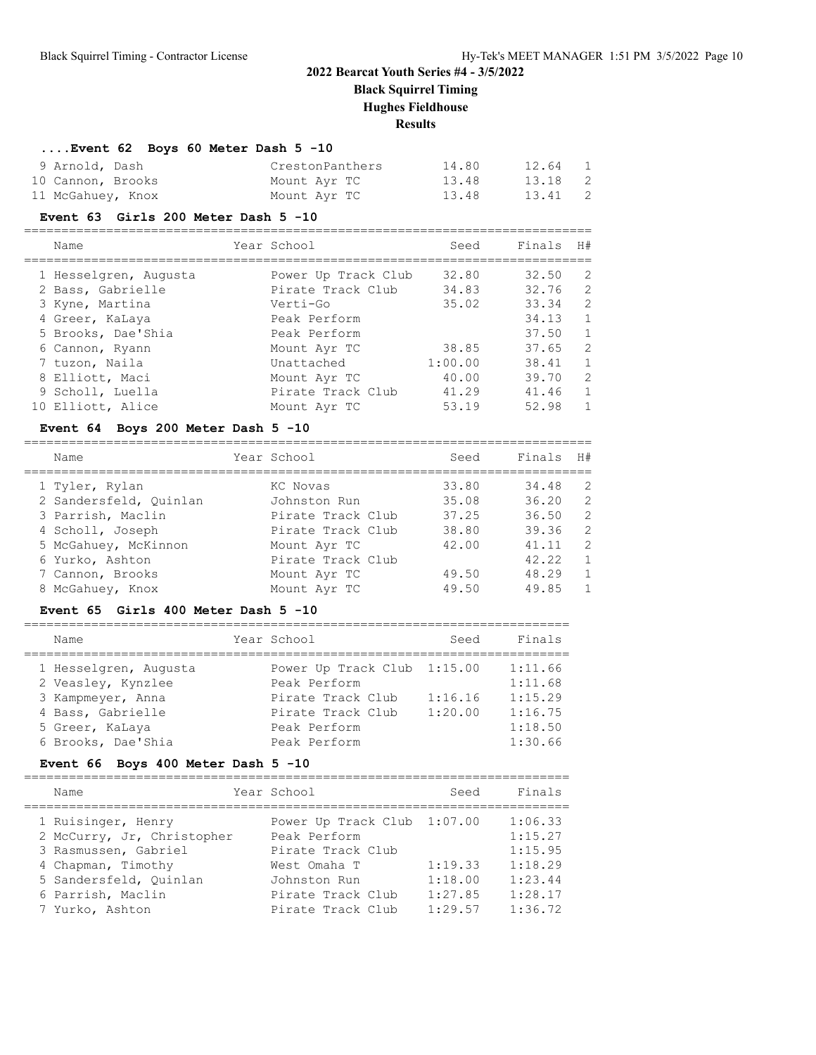**Black Squirrel Timing**

**Hughes Fieldhouse**

### **Results**

# **....Event 62 Boys 60 Meter Dash 5 -10**

| 9 Arnold, Dash    | CrestonPanthers | 14.80 | 12.64 1 |                            |
|-------------------|-----------------|-------|---------|----------------------------|
| 10 Cannon, Brooks | Mount Ayr TC    | 13.48 | 13.18 2 |                            |
| 11 McGahuey, Knox | Mount Ayr TC    | 13.48 | 13.41   | $\overline{\phantom{0}}^2$ |

#### **Event 63 Girls 200 Meter Dash 5 -10**

============================================================================

|  | Name                  | Year School         | Seed    | Finals H# |              |
|--|-----------------------|---------------------|---------|-----------|--------------|
|  | 1 Hesselgren, Augusta | Power Up Track Club | 32.80   | 32.50     | -2           |
|  | 2 Bass, Gabrielle     | Pirate Track Club   | 34.83   | 32.76     | 2            |
|  | 3 Kyne, Martina       | Verti-Go            | 35.02   | 33.34     | 2            |
|  | 4 Greer, KaLaya       | Peak Perform        |         | 34.13     | $\mathbf{1}$ |
|  | 5 Brooks, Dae'Shia    | Peak Perform        |         | 37.50     | $\mathbf{1}$ |
|  | 6 Cannon, Ryann       | Mount Ayr TC        | 38.85   | 37.65     | 2            |
|  | 7 tuzon, Naila        | Unattached          | 1:00.00 | 38.41     | $\mathbf{1}$ |
|  | 8 Elliott, Maci       | Mount Ayr TC        | 40.00   | 39.70     | 2            |
|  | 9 Scholl, Luella      | Pirate Track Club   | 41.29   | 41.46     | $\mathbf{1}$ |
|  | 10 Elliott, Alice     | Mount Ayr TC        | 53.19   | 52.98     | $\mathbf{1}$ |
|  |                       |                     |         |           |              |

### **Event 64 Boys 200 Meter Dash 5 -10**

| Name                   | Year School       | Seed  | Finals | H#             |
|------------------------|-------------------|-------|--------|----------------|
| 1 Tyler, Rylan         | KC Novas          | 33.80 | 34.48  | 2              |
| 2 Sandersfeld, Ouinlan | Johnston Run      | 35.08 | 36.20  | 2              |
| 3 Parrish, Maclin      | Pirate Track Club | 37.25 | 36.50  | $\overline{2}$ |
| 4 Scholl, Joseph       | Pirate Track Club | 38.80 | 39.36  | 2              |
| 5 McGahuey, McKinnon   | Mount Ayr TC      | 42.00 | 41.11  | $\mathcal{L}$  |
| 6 Yurko, Ashton        | Pirate Track Club |       | 42.22  | $\mathbf{1}$   |
| 7 Cannon, Brooks       | Mount Ayr TC      | 49.50 | 48.29  | $\mathbf{1}$   |
| 8 McGahuey, Knox       | Mount Ayr TC      | 49.50 | 49.85  | $\mathbf{1}$   |

### **Event 65 Girls 400 Meter Dash 5 -10**

| Name                  | Year School                 | Seed    | Finals  |
|-----------------------|-----------------------------|---------|---------|
| 1 Hesselgren, Augusta | Power Up Track Club 1:15.00 |         | 1:11.66 |
| 2 Veasley, Kynzlee    | Peak Perform                |         | 1:11.68 |
| 3 Kampmeyer, Anna     | Pirate Track Club           | 1:16.16 | 1:15.29 |
| 4 Bass, Gabrielle     | Pirate Track Club           | 1:20.00 | 1:16.75 |
| 5 Greer, KaLaya       | Peak Perform                |         | 1:18.50 |
| 6 Brooks, Dae'Shia    | Peak Perform                |         | 1:30.66 |

# **Event 66 Boys 400 Meter Dash 5 -10**

| Name                                             | Year School                                 | Seed    | Finals             |
|--------------------------------------------------|---------------------------------------------|---------|--------------------|
| 1 Ruisinger, Henry<br>2 McCurry, Jr, Christopher | Power Up Track Club 1:07.00<br>Peak Perform |         | 1:06.33<br>1:15.27 |
| 3 Rasmussen, Gabriel                             | Pirate Track Club                           |         | 1:15.95            |
| 4 Chapman, Timothy                               | West Omaha T                                | 1:19.33 | 1:18.29            |
| 5 Sandersfeld, Ouinlan                           | Johnston Run                                | 1:18.00 | 1:23.44            |
| 6 Parrish, Maclin                                | Pirate Track Club                           | 1:27.85 | 1:28.17            |
| 7 Yurko, Ashton                                  | Pirate Track Club                           | 1:29.57 | 1:36.72            |
|                                                  |                                             |         |                    |